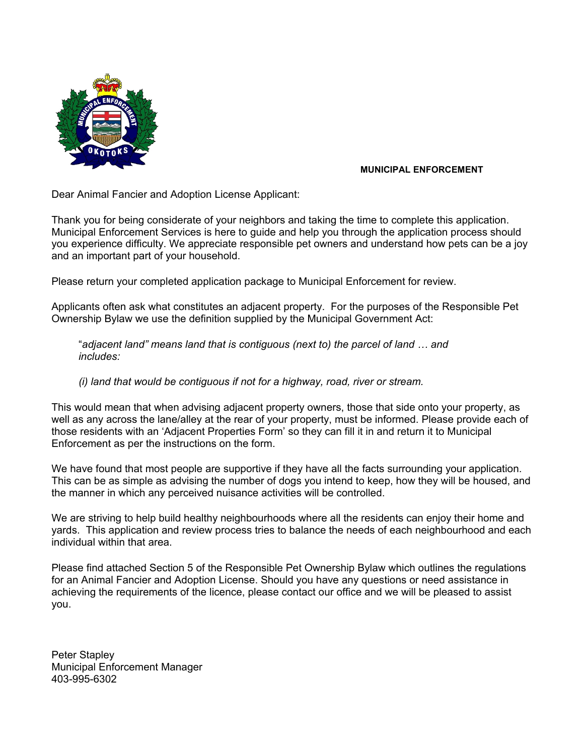

# **MUNICIPAL ENFORCEMENT**

Dear Animal Fancier and Adoption License Applicant:

Thank you for being considerate of your neighbors and taking the time to complete this application. Municipal Enforcement Services is here to guide and help you through the application process should you experience difficulty. We appreciate responsible pet owners and understand how pets can be a joy and an important part of your household.

Please return your completed application package to Municipal Enforcement for review.

Applicants often ask what constitutes an adjacent property. For the purposes of the Responsible Pet Ownership Bylaw we use the definition supplied by the Municipal Government Act:

"*adjacent land" means land that is contiguous (next to) the parcel of land … and includes:*

*(i) land that would be contiguous if not for a highway, road, river or stream.*

This would mean that when advising adjacent property owners, those that side onto your property, as well as any across the lane/alley at the rear of your property, must be informed. Please provide each of those residents with an 'Adjacent Properties Form' so they can fill it in and return it to Municipal Enforcement as per the instructions on the form.

We have found that most people are supportive if they have all the facts surrounding your application. This can be as simple as advising the number of dogs you intend to keep, how they will be housed, and the manner in which any perceived nuisance activities will be controlled.

We are striving to help build healthy neighbourhoods where all the residents can enjoy their home and yards. This application and review process tries to balance the needs of each neighbourhood and each individual within that area.

Please find attached Section 5 of the Responsible Pet Ownership Bylaw which outlines the regulations for an Animal Fancier and Adoption License. Should you have any questions or need assistance in achieving the requirements of the licence, please contact our office and we will be pleased to assist you.

Peter Stapley Municipal Enforcement Manager 403-995-6302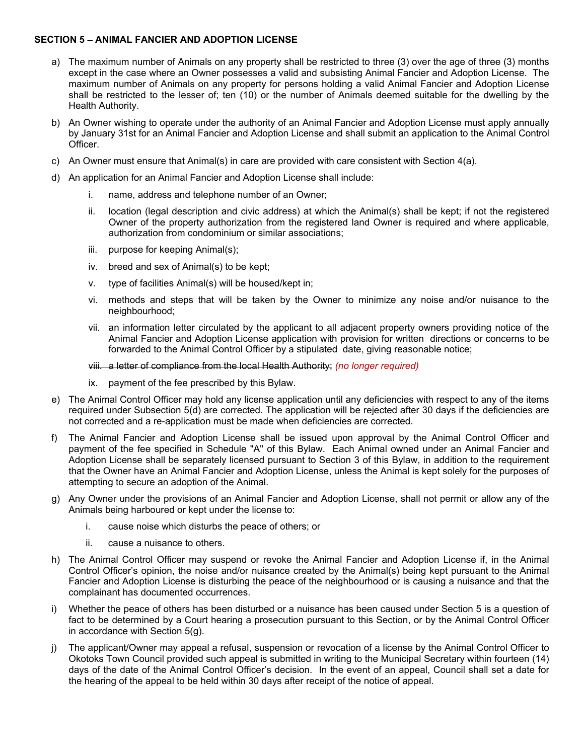### **SECTION 5 – ANIMAL FANCIER AND ADOPTION LICENSE**

- a) The maximum number of Animals on any property shall be restricted to three (3) over the age of three (3) months except in the case where an Owner possesses a valid and subsisting Animal Fancier and Adoption License. The maximum number of Animals on any property for persons holding a valid Animal Fancier and Adoption License shall be restricted to the lesser of; ten (10) or the number of Animals deemed suitable for the dwelling by the Health Authority.
- b) An Owner wishing to operate under the authority of an Animal Fancier and Adoption License must apply annually by January 31st for an Animal Fancier and Adoption License and shall submit an application to the Animal Control Officer.
- c) An Owner must ensure that Animal(s) in care are provided with care consistent with Section 4(a).
- d) An application for an Animal Fancier and Adoption License shall include:
	- i. name, address and telephone number of an Owner;
	- ii. location (legal description and civic address) at which the Animal(s) shall be kept; if not the registered Owner of the property authorization from the registered land Owner is required and where applicable, authorization from condominium or similar associations;
	- iii. purpose for keeping Animal(s);
	- iv. breed and sex of Animal(s) to be kept;
	- v. type of facilities Animal(s) will be housed/kept in;
	- vi. methods and steps that will be taken by the Owner to minimize any noise and/or nuisance to the neighbourhood;
	- vii. an information letter circulated by the applicant to all adjacent property owners providing notice of the Animal Fancier and Adoption License application with provision for written directions or concerns to be forwarded to the Animal Control Officer by a stipulated date, giving reasonable notice;

### viii. a letter of compliance from the local Health Authority; *(no longer required)*

- ix. payment of the fee prescribed by this Bylaw.
- e) The Animal Control Officer may hold any license application until any deficiencies with respect to any of the items required under Subsection 5(d) are corrected. The application will be rejected after 30 days if the deficiencies are not corrected and a re-application must be made when deficiencies are corrected.
- The Animal Fancier and Adoption License shall be issued upon approval by the Animal Control Officer and payment of the fee specified in Schedule "A" of this Bylaw. Each Animal owned under an Animal Fancier and Adoption License shall be separately licensed pursuant to Section 3 of this Bylaw, in addition to the requirement that the Owner have an Animal Fancier and Adoption License, unless the Animal is kept solely for the purposes of attempting to secure an adoption of the Animal.
- g) Any Owner under the provisions of an Animal Fancier and Adoption License, shall not permit or allow any of the Animals being harboured or kept under the license to:
	- i. cause noise which disturbs the peace of others; or
	- ii. cause a nuisance to others.
- h) The Animal Control Officer may suspend or revoke the Animal Fancier and Adoption License if, in the Animal Control Officer's opinion, the noise and/or nuisance created by the Animal(s) being kept pursuant to the Animal Fancier and Adoption License is disturbing the peace of the neighbourhood or is causing a nuisance and that the complainant has documented occurrences.
- i) Whether the peace of others has been disturbed or a nuisance has been caused under Section 5 is a question of fact to be determined by a Court hearing a prosecution pursuant to this Section, or by the Animal Control Officer in accordance with Section 5(g).
- j) The applicant/Owner may appeal a refusal, suspension or revocation of a license by the Animal Control Officer to Okotoks Town Council provided such appeal is submitted in writing to the Municipal Secretary within fourteen (14) days of the date of the Animal Control Officer's decision. In the event of an appeal, Council shall set a date for the hearing of the appeal to be held within 30 days after receipt of the notice of appeal.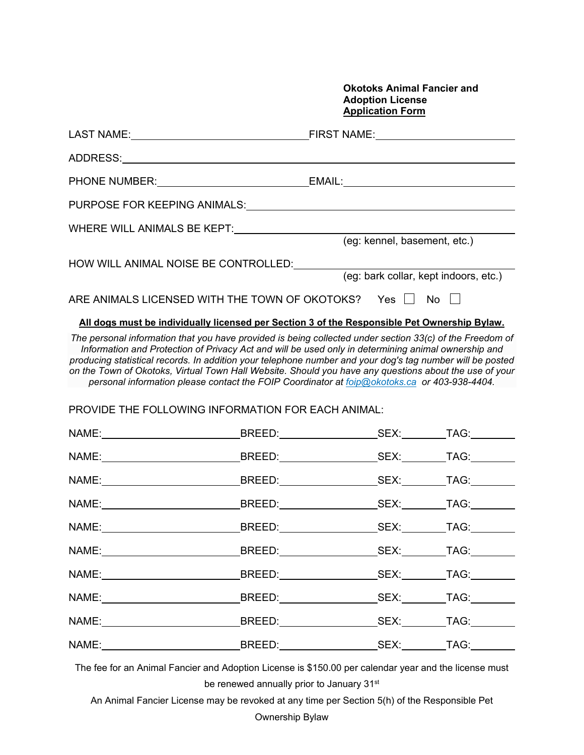### **Okotoks Animal Fancier and Adoption License Application Form**

|       | PURPOSE FOR KEEPING ANIMALS: UNIVERSITY OF A SERIES AND THE SERIES OF A SERIES OF A SERIES OF A SERIES OF A SERIES OF A SERIES OF A SERIES OF A SERIES OF A SERIES OF A SERIES OF A SERIES OF A SERIES OF A SERIES OF A SERIES                                                                                                                                                                                                                                                                                                                                                                                                         |                              |                                       |
|-------|----------------------------------------------------------------------------------------------------------------------------------------------------------------------------------------------------------------------------------------------------------------------------------------------------------------------------------------------------------------------------------------------------------------------------------------------------------------------------------------------------------------------------------------------------------------------------------------------------------------------------------------|------------------------------|---------------------------------------|
|       | WHERE WILL ANIMALS BE KEPT: WHERE WILL ANIMALS BE KEPT:                                                                                                                                                                                                                                                                                                                                                                                                                                                                                                                                                                                | (eg: kennel, basement, etc.) |                                       |
|       | HOW WILL ANIMAL NOISE BE CONTROLLED:                                                                                                                                                                                                                                                                                                                                                                                                                                                                                                                                                                                                   |                              | (eg: bark collar, kept indoors, etc.) |
|       | ARE ANIMALS LICENSED WITH THE TOWN OF OKOTOKS? Yes $\Box$ No $\Box$                                                                                                                                                                                                                                                                                                                                                                                                                                                                                                                                                                    |                              |                                       |
|       | All dogs must be individually licensed per Section 3 of the Responsible Pet Ownership Bylaw.<br>The personal information that you have provided is being collected under section 33(c) of the Freedom of<br>Information and Protection of Privacy Act and will be used only in determining animal ownership and<br>producing statistical records. In addition your telephone number and your dog's tag number will be posted<br>on the Town of Okotoks, Virtual Town Hall Website. Should you have any questions about the use of your<br>personal information please contact the FOIP Coordinator at foip@okotoks.ca or 403-938-4404. |                              |                                       |
|       | PROVIDE THE FOLLOWING INFORMATION FOR EACH ANIMAL:                                                                                                                                                                                                                                                                                                                                                                                                                                                                                                                                                                                     |                              |                                       |
|       |                                                                                                                                                                                                                                                                                                                                                                                                                                                                                                                                                                                                                                        |                              |                                       |
|       |                                                                                                                                                                                                                                                                                                                                                                                                                                                                                                                                                                                                                                        |                              |                                       |
|       |                                                                                                                                                                                                                                                                                                                                                                                                                                                                                                                                                                                                                                        |                              |                                       |
|       |                                                                                                                                                                                                                                                                                                                                                                                                                                                                                                                                                                                                                                        |                              |                                       |
| NAME: | _____________________BREED:____________                                                                                                                                                                                                                                                                                                                                                                                                                                                                                                                                                                                                |                              |                                       |
|       |                                                                                                                                                                                                                                                                                                                                                                                                                                                                                                                                                                                                                                        |                              |                                       |
|       |                                                                                                                                                                                                                                                                                                                                                                                                                                                                                                                                                                                                                                        |                              |                                       |
|       |                                                                                                                                                                                                                                                                                                                                                                                                                                                                                                                                                                                                                                        |                              |                                       |
|       |                                                                                                                                                                                                                                                                                                                                                                                                                                                                                                                                                                                                                                        |                              |                                       |

The fee for an Animal Fancier and Adoption License is \$150.00 per calendar year and the license must be renewed annually prior to January 31<sup>st</sup>

An Animal Fancier License may be revoked at any time per Section 5(h) of the Responsible Pet